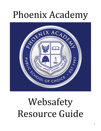## Phoenix Academy



# Websafety Resource Guide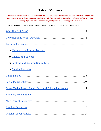### <span id="page-1-0"></span>**Table of Contents**

\*Disclaimer: This Resource Guide is a parent driven initiative for information purposes only. The views, thoughts, and opinions expressed in the text of the various links provided belong solely to the authors of the text, and not to Phoenix *Academy High Point administration and faculty; these are parent suggested resources.*

\*\*For ease of use, click the title to access a bookmark and be taken directly to that section.

| <b>* Network and Router Settings:</b>                     |
|-----------------------------------------------------------|
| ★ Phones and Tablets:                                     |
| ★ Laptops and Desktop Computers:                          |
| $\star$ Gaming Consoles                                   |
|                                                           |
|                                                           |
| Other Media: Music, Email, Text, and Private Messaging 11 |
|                                                           |
|                                                           |
|                                                           |
|                                                           |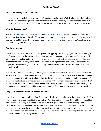#### <span id="page-2-0"></span>**Why Should I Care?**

#### **Why should I set parental controls?**

Parental controls can help ensure your child's safety on the internet. While it's important for students to learn how to use technology in an appropriate way, that isn't something they are going to learn over night. It is important to set limits and parental controls can help you monitor and maintain those limits.

#### **Why limit screen time?**

The [American Academy of Pediatrics](https://www.aap.org/en-us/advocacy-and-policy/aap-health-initiatives/Pages/Media-and-Children.aspx) and the [World Health Organization](https://www.who.int/news-room/detail/24-04-2019-to-grow-up-healthy-children-need-to-sit-less-and-play-more) recommend students limit screen time just like anything else. You wouldn't let your child stand in the corner and stare at the wall all day; they shouldn't sit on the couch and stare at a screen all day either. It is important for students to have active playtime each day.

#### **Gaming Concerns**

Why is it important for me to know what games and apps my kids are playing? Children and young adults don't always make the best choices. It is important to set limits and restrictions based on your family values and your child's maturity. Most games and apps have ratings that suggest an appropriate age range for that game. Some games, like Roblox, contain multiple games within one environment. It is important to know what games kids are playing and make sure those are appropriate for their age and maturity level.

Some MMOs (massively multiplayer online games) include a chat feature. Often, parental controls can assist you in turning off or otherwise limiting who your child can chat with. It is also important to begin teaching students the safe way to chat online. It's the modern equivalent of don't talk to strangers. We teach kids not to share their address or phone number with strangers at the store or people they don't know, but we often forget these lessons need to carry over to technology as well. It's not safe to give out personal information online. Child predators and identity thieves are online and in the real world.

#### **Why should I let my child have screen time at all?**

If it's dangerous or potentially needs to be monitored, why not just take away the screens altogether? Our kids are growing up in a world full of technology. Whether we like it or not, they will have to use at least some of that technology in their day to day lives. As they grow older, it will become impossible to do research for school or even get a job without spending some time in front of a screen. It is important for kids to learn how to deal with technology and use it appropriately; the younger they start learning, the more ingrained those lessons will be. Learning how to limit screen time and manage technology is now a vital part of helping children grow into adults.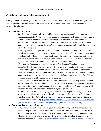#### <span id="page-3-0"></span>**Conversations with Your Child**

#### **What should I talk to my child about and when?**

Having a conversation with your child about internet use and safety is important . Even young children need to talk about technology and internet safety. Here are some basic ideas to help you get that conversation started.

#### **● Basic Conversations**

- **○** *Social Stranger Danger:* Help your child recognize that strangers online are just like strangers in real life. We don't share our personal information with people we don't know.
- *○ Privacy:* Children need to understand what is private information. Apart from name, address, and phone number, talk to your child about other information they should not share like what time mom and dad aren't home, codes to alarms or electronic locks, or even what school they go to.
- *○ Who is my friend?* It's important for kids to understand who their friends are and who is merely an acquaintance. It's probably okay to give your email address or your screen name to a close family friend. It is not okay to give out information to someone you just met. It's also not okay for an adult to ask for your information. Talk about the difference between types of friends (ie close friends, acquaintances, and online friends).
- *○ What do I say if someone asks me for something they shouldn't?* Teachers, grown-ups, babysitter, bus drivers, teen helpers, (etc) should never *ever* ask for a child's information (email address, phone number, screen name, etc). With few exceptions, adults should never be giving their information to children or students either. Talk about what your child should say to an inappropriate request from an adult. Something as simple as "you'll have to ask my mom" might be a good phrase to practice.
- *○ When do I need to tell an adult?* It's important for kids to know when they need to involve and adult and who they should tell. It's important to talk to an adult if someone is trying to get information they shouldn't, especially if they say something like "you don't have to tell anyone." If you're not sure if something is okay, ask a grown-up!
- *○ Parents, be aware that online bullying is real*, even among the younger age groups. Let kids know they can talk to you or a trusted adult about someone being mean to them online. Help them know how to "walk away" and leave an online space when they need to or how to get help from a grown-up. ([Cyberbullying: How to Recognize It and What to Do About It\)](https://www.consumer.ftc.gov/articles/0028-cyberbullying) [\(A Parent's Guide to Understanding Cyberbullying\)](https://kidshealth.org/en/parents/cyberbullying.html) ([More on Cyberbullying](https://www.missingkids.org/netsmartz/topics/cyberbullying)**)**
- **● Additional Topics for age 7 and up**
	- *○ Bullying and Online Behavior:* Talk to your child about bullying and other inappropriate behavior. Explain that the rules online should be no different from the rules in real life. If you wouldn't say that to someone's face, you shouldn't say it in a chat. If you wouldn't be friends with someone who tore up your drawings, don't be friends with someone who destroys things in online games. [\(Cyberbullying Videos to Share and Points to Talk About](https://www.missingkids.org/netsmartz/topics/cyberbullying))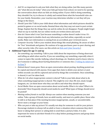- *○ Ask!* It's so important to ask your kids what they are doing online. Just like many parents ask "what did you do today" when your kids get home from school, we need to be opening the conversation about what our kids are doing online. If your child is doing something they shouldn't be, try to discuss it calmly and remind them what the household rules are for your family. Remember, your reaction may determine whether or not they tell you things in the future.
- *○ Should I post this?* Talk to your child about what information and which pictures should be posted in games or on social media. Remind them why they may not want to post certain things. Explain that the things they say and do online do not disappear. People might forget what we say in real life, but our online words are written down and saved.
- *○ How do I know what's true?* Just because something is online doesn't make it true. It's always important to double check any information you find online, especially on social media. Make sure information is coming from an accredited, peer reviewed source.
- *○ Computer Security:* Talk to your student about things like email phishing. Be aware of offers for "free" downloads and games. Be cautious of in-app purchases, peer-to-peer sharing, and other security risks. (For more, see this article on [Kids and Cyber Security](https://www.consumer.ftc.gov/articles/0017-kids-and-computer-security).)

#### **● Additional Topics for age 11 and up**

- *○ See something, say something:* Talk to your child about the importance of being observant and telling an adult when need be. If you see something, say something, especially when it comes to topics like suicide, bullying, school shootings, etc. Students need to know what to do if someone is talking about hurting themselves or someone else. (["Telling An Adult Isn't](https://www.adl.org/education/resources/tools-and-strategies/telling-an-adult-isnt-so-easy) [So Easy"\)](https://www.adl.org/education/resources/tools-and-strategies/telling-an-adult-isnt-so-easy)
- *○ Deleted doesn't mean gone:* Have an open conversation about posting. Anything posted can be copied and shared with anyone. Even apps that claim to delete your picture or post within seconds can still be captured and saved by things like screenshots. Once something is shared, it can't be taken back.
- *○ What do I do when inappropriate content is shared?* Talk to your kids about what to do when something inappropriate is shared. This might be over chat, IM, text, email, Google hangouts, etc. Let them know who they can talk to and what they should report.
- *○ Social Media:* Have an open conversation about social media. What is its value? What is its downside? How frequently should social media be used? What types of things should never be posted?
- *○ Meeting online friends in real life:* Always use caution when meeting someone you met online. Take a group of friends, have an adult nearby, and meet at a public place. Know who to talk to at that place if the meeting becomes inappropriate, unsafe, or uncomfortable. Never meet a stranger at your home.
- *○ Who can post or take my picture?* It's usually not okay for someone to ask for your picture. Encourage students to always tell an adult or leave a situation where someone they don't know is taking their picture or asking kids to send them a picture/video. It is also important for teens to ask their friends if it is okay before posting pictures and group shots on social media.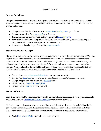#### <span id="page-5-0"></span>**Parental Controls**

#### **Internet Guidelines:**

Only you can decide what is appropriate for your child and what works for your family. However, here are a few resources you may want to consider utilizing as you create your family rules for safe internet and technology use.

- Things to consider about how you can [create safe technology use](https://www.adl.org/education/resources/tools-and-strategies/internet-guidelines-for-families) in your house.
- Common sense ideas for [internet safety](https://www.webwise.ie/parents/advice-top-10-tips-for-parents/) in the home.
- The American Academy of Pediatrics has some useful [technology tools](https://www.healthychildren.org/English/media/Pages/default.aspx).
- Know what your kids are doing online. Familiarize yourself with the games and apps they are using so you will know what is appropriate and what is not.
- More information about specific uses for [parent controls.](https://www.commonsensemedia.org/blog/parents-ultimate-guide-to-parental-controls)

#### <span id="page-5-1"></span>**Network and Router Settings:**

Did you know there are several ways to utilize parental controls on your home internet network? You can implement content restrictions, website restrictions, time limits, browser sensors, and other useful parental controls. Some of these can be accomplished through your current router and others require either additional software or an external device. Software is run from a computer connected to the network. A parental control device will be a physical box that will be plugged into your router to filter what is accessible from your network. You can find more information at the links below.

- Four main ways to [set up parental controls](https://www.howtogeek.com/167545/4-ways-to-set-up-parental-controls-on-your-home-network/) on your home network
- Step by step [directions](https://www.lifewire.com/internet-parental-controls-2487974) for parental controls for blocking a website through your router
- Configuring parental controls on your [Netgear](https://kb.netgear.com/25687/How-do-I-configure-Live-Parental-Controls-on-my-NETGEAR-router) router
- Parental controls [software comparison](https://www.pcmag.com/roundup/240282/the-best-parental-control-software)
- Parental control *devices* for your network

#### <span id="page-5-2"></span>**Phones and Tablets:**

Even if you choose not to utilize parental controls, it is important to make sure all family phones are safe and secure. Here is a [Smartphone Security Checklist](https://www.fcc.gov/smartphone-security) recommended by the FCC.

Most cell phones and tablets can be set up to utilize parental controls. These might include time limits, game rating restrictions, internet search restrictions, download and purchase limitations, and other useful tools to help keep your child safe. Many controls are specific to each device or device type.

● Apple [iPhones and iPads](https://support.apple.com/en-us/HT201304) have built in parental controls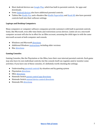- Most Android devices use [Google Play,](https://support.google.com/googleplay/answer/1075738?hl=en) which has built in parental controls, for apps and downloads.
- Some [Android devices](https://www.techadvisor.co.uk/how-to/google-android/android-parental-controls-3461359/) also have additional parental controls.
- Tablets like [Kindle Fire](https://www.laptopmag.com/articles/parental-controls-fire-tablet) and e-Readers like [Kindle Paperwhite](https://www.dummies.com/consumer-electronics/tablets/kindle/how-to-use-parental-controls-for-your-childs-kindle-paperwhite/) and [Nook HD](https://www.laptopmag.com/articles/how-to-enable-parental-controls-on-barnes-nobles-nook-hd) also have parental controls built into their software settings.

#### <span id="page-6-0"></span>**Laptops and Desktop Computers:**

Many computers or computer software companies provide customers with built in parental controls. Some, like Microsoft, even offer time limits and restrictions across devices. Limits set on a microsoft computer account will also be in effect for an XBox account, assuming the child signs in with the same microsoft account at both computer and console.

- Windows and Microsoft [directions](https://support.microsoft.com/en-us/help/12439/microsoft-account-set-content-restrictions-on-windows-10-and-xbox-one)
- Additional Windows [instructions](https://www.lifewire.com/microsoft-family-safety-parental-controls-4153037) including older versions
- Mac [directions](https://support.apple.com/guide/mac-help/set-up-parental-controls-mtusr004/mac)

#### <span id="page-6-1"></span>**Gaming Consoles**

Gaming Consoles, like the Playstation or the XBox, have their own internal parental controls. Each game may also have its own individual controls, but the console itself can regulate and/or monitor some activities. If you have one of these consoles, it's definitely worth checking the settings.

- Understanding [parental controls](https://www.esrb.org/tools-for-parents/parental-controls/) by situation and by gaming system
- Playstation [directions](https://www.playstation.com/en-us/network/legal/ratings/)
- XBox [directions](https://support.xbox.com/en-US/xbox-360/security/xbox-live-parental-control)
- Nintendo Switch [parent control app directions](https://www.nintendo.com/switch/parental-controls/)
- Nintendo Switch [manual device control directions](https://www.imore.com/how-set-parental-controls-nintendo-switch)
- Nintendo Wii [directions](https://www.nintendo.co.uk/Support/Wii/Usage/Wii-Menus/Parental-Controls/Parental-Controls-242917.html)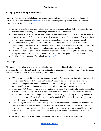#### <span id="page-7-0"></span>**Gaming Safety**

#### **Setting Up a Safe Gaming Environment**

Here are a few basic tips to help keep your young gamers safe online. For more information on what a virtual world entails, check out [this article](https://www.consumer.ftc.gov/articles/0030-kids-and-virtual-worlds). For more on video gaming, parental controls, and web-based vs mobile platforms, click [here](https://www.consumer.ftc.gov/articles/0270-kids-parents-and-video-games).

- *Screen Names:* Never use your real name as your screen name. Instead, it should be easy for you to remember but something that does not give away real life information.
- *Friend Requests:* Do not accept a friend request from someone you don't know in real life. Accept requests from real life friends you know well. Always get a parent's permission before accepting a screen request from an adult (ie a coach, friend of the family, or parent of another child).
- *● Chat Controls:* Most games have some chat controls. Sometimes it is simply on or off, but many newer games allow more control. You might be able to select "chat only with friends" or that type of feature. Check out the games chat and parental controls before allowing a child to play.
- *● Parental Controls:* All games have some form of parental controls. You might have enough setting with your network or device, but it never hurts to check out the game's controls as well.
- *For More Information and Ideas*: Check out [this article](https://www.engadget.com/2013/03/04/the-parents-guide-to-video-gaming-for-kids/).

#### **Red Flags**

All students need to know what words or behaviors should be a red flag. It's important to talk about and teach your child what things they should be watching for when it comes to online safety. Some things are the same online as in real life but some things are different.

- *● Older Players:* It's hard to tell how old someone is online. At a playground if an adult approached, it would be easy to know that person isn't a child. Online, you need to listen for older voices or someone talking in a fake voice. If you hear an older voice and you don't know who it is, you shouldn't talk to that person and you may need to leave that chat or gaming area.
- *● Encouraging Rule Breaking:* Anyone encouraging you to break the rules is not a good person. This might be someone telling a child "you don't have to tell your parents" or "you don't really need to ask an adult's permission." It might be another child encouraging cheating or picking on weaker players. If someone isn't playing by the rules and especially if they are telling another child not to follow the rules, it's time to leave the game.
- *● Asking for Information:* No one should ask you for your username or password, not even real life friends. It is okay to share a screen name with real life friends so they can find you online, but never *ever* share your username and password. No one should ask you for personal information, like your real name or phone number. And definitely don't switch accounts with other people online.
- *Asking for Pictures:* No one should be asking for pictures, videos, or private messages.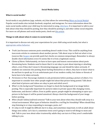#### <span id="page-8-0"></span>**Social Media Safety**

#### **What is social media?**

Social media is any platform (app, website, etc) that allows for networking ([More on Social Media](https://www.missingkids.org/netsmartz/topics/socialmedia)). Popular social media sites include facebook, snapchat, and instagram. For more information about the main social media outlets your child may be interested in using, [click here.](https://www.adl.org/education/resources/tools-and-strategies/the-grown-folks-guide-to-popular-apps-in-social-media) It is important to talk to your kids about what they should be posting, how they should be posting it, and other online social etiquette. For more on cell phones and social media posts, check out [this article.](https://www.consumer.ftc.gov/articles/0025-kids-and-mobile-phones)

#### **Things to talk about when it comes to social media:**

It is important to discuss not only your expectations for your child using social media, but what is [appropriate online behavior.](https://www.consumer.ftc.gov/articles/0012-kids-and-socializing-online)

- *● Truth:* Just because someone posts something doesn't make it true. This could be anything from inaccurate articles to comments about another person. Talk about ways to find out what is true (sources like [Snopes](https://www.snopes.com/) can provide quick fact checks on common mispostings). Remember to always double check information even if it seems like it is from a legitimate source.
- *● Claims of Harm:* Unfortunately, we have to have open and honest conversations about posts threatening harm. Students need to know that it is not okay to post about injuring or attacking others, even if they don't mean it; threatening language can and should be taken seriously. If students see someone else posting about hurting themselves or others, they have to know what to do and how to speak up. It is an unfortunate part of our modern reality, but claims or threats of harm have to be taken seriously.
- *● Permission to Post:* Encourage students to ask permission before posting a picture of others. It is important to consider how other people might feel about that picture being posted. Talk about what kind of pictures and videos are okay to post and which aren't.
- *● What's in the background?* Sometimes we forget to check the background of an image before posting. This is especially important for pictures taken in private spaces like changing rooms, bathrooms, and doctor's offices. Even in public spaces, people might be attempting to spice up a picture in the hopes it will be posted unnoticed. Always check the background of your image before posting.
- *● When should I delete/unfriend someone?* Talk to your teen about when they should walk away in a virtual environment. What types of behavior should be a red flag for friendship? When should they stop listening to or stop responding to messages, posts, etc?
- *● It's okay to tell.* It might be difficult, but it is okay, and sometimes important, to tell an adult about things seen online. Let's face it, sometimes teens aren't going to want to tell things to mom and dad. Talk to your teen about other trustworthy adults they can turn to if they aren't comfortable talking to you.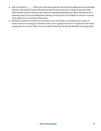- *● How to Respond to \_\_\_\_\_\_.* Talk to your teen about specific instances they might face on social media and how they should respond. What should they do if someone posts a picture they don't like? What should they do if someone asks them for something inappropriate? What should they do if someone posts inaccurate information? Having an action plan can be helpful. It's hard to respond in the right way in a moment of frustration.
- *● Would you say that in real life?* If you wouldn't say it in real life, you shouldn't say it online. It seems easier to say things you shouldn't when you're typing the words on a keyboard rather than saying them face to face. Talk to your teen about what they should and shouldn't be saying online.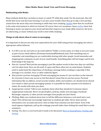#### <span id="page-10-0"></span>**Other Media: Music, Email, Text, and Private Messaging**

#### **Multitasking with Media:**

Many students think they can listen to music or watch TV while they study. For the most part, this will divide their focus and decrease learning. It can also cause trouble when they go to take a test and they cannot have the music they were listening to while they were studying. [Studies](https://scienceofeducation2013.wordpress.com/2013/03/11/context-and-state-dependent-memory-blog-6-week-7-11th-march/) show that we recall best in the same environment in which we learned. Of course, there are exceptions. Some [studies](https://www.studyinternational.com/news/does-listening-to-music-while-studying-make-you-a-better-student/) show that listening to music can improve your mood and therefore improve your study skills; however, the lyrics are distracting, so music without any words is best while studying.

#### **Things to talk about when it comes to messaging:**

It is important to discuss not only your expectations for your child using private messaging, but what is appropriate online behavior.

- *● Is it OK to use my real name as my email address?* Unlike a screen name, it is okay to use your name as part of your email address (firstname.lastname@blankmail.com). Pick something easy to remember and something you are comfortable sharing with other people. Avoid innuendos and inappropriate comments as part of your email handle. Something plain will last longer and be less frustrating in the long run.
- *● How do I unsend?* Most private messaging is just like spoken words in that once they are said they can't be taken back. Once you hit send, it's gone and there often isn't an undo button. Students need to understand the importance of checking a message before sending it, especially if that message is to a teacher, boss, or other authority figure.
- *● How private is private messaging?* Private messaging just means it's not out there on the internet for everyone to have easy access to, but that doesn't mean that no one has access. Personal information like an address, social security number, debit card numbers, etc should not be shared over email or other private messaging systems. It is possible for these systems to be hacked or stolen. Be careful with what you share.
- *● Inappropriate content:* Talk to your students about what they should do if someone shares inappropriate materials. Never accept dropbox, airdrop, emails, text messages, Facebook Messenger requests, or other private messages from people you don't know.
- *● Phishing:* Make sure students know how to tell the difference between a real email and a scan email. This will become increasingly important as students get older. Never share private information over an email and never click on links from someone you don't know. Even if the email appears legitimate, pull up the webpage yourself rather than clicking the email link to avoid scammers.
- *● Sexting:* Yes, this is a real word and it needs to be discussed. [More on Smartphones, Texting, and](https://www.missingkids.org/netsmartz/topics/smartphones) [Sexting](https://www.missingkids.org/netsmartz/topics/smartphones)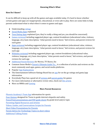#### <span id="page-11-0"></span>**How Do I Know?**

It can be difficult to keep up with all the games and apps available today. It's hard to know whether certain games and apps are inappropriate, educational, or even safe to play. Here are some links to help parents understand what is what when it comes to games and apps.

- Understanding [ratings](https://www.esrb.org/ratings/)
- **●** [Social Media Apps](https://www.adl.org/education/resources/tools-and-strategies/the-grown-folks-guide-to-popular-apps-in-social-media) explained
- [Teen Dating Apps](https://www.familyzone.com/au/families/blog/six-teen-dating-apps-parents-need-to-know) explained (yes, they're really a thing and yes, you should be concerned)
- [Games reviewed](https://www.commonsensemedia.org/game-reviews) including suggested player age, content breakdown (educational value, violence, language, etc), basic description, "what parents need to know," kid reviews, and parent reviews for each game
- [Apps reviewed](https://www.commonsensemedia.org/app-reviews) including suggested player age, content breakdown (educational value, violence, language, etc), basic description, "what parents need to know," kid reviews, and parent reviews for each app
- [Websites reviewed](https://www.commonsensemedia.org/website-reviews) including suggested player age, content breakdown (educational value, violence, language, etc), basic description, "what parents need to know," kid reviews, and parent reviews for each app
- [Additional Parent Reviews](https://www.commonsensemedia.org/) for Movies, TV Shows, Etc
- Common Sense Media's [Parent's Ultimate Guide To](https://www.commonsensemedia.org/parents-ultimate-guides)... is a collection of articles and reviews on the most commonly used apps, games, and social media platforms.
- Popular [App Explanations](https://www.webwise.ie/category/parents/explainers/)
- The Entertainment Software Ratings Board has an [app](https://www.esrb.org/tools-for-parents/mobile-app/) for on the go ratings and game/app information
- Everybody Plays has a good set of [reviews](https://www.everybodyplays.co.uk/reviews/) and [parent guides](https://www.everybodyplays.co.uk/parents-guides/) for games
- For more information or alternative review sites, check out [this article](http://parentingdigital.com/best-video-game-review-sites-parents/).
- More on MMOs and [Gaming](https://www.missingkids.org/netsmartz/topics/gaming)

#### <span id="page-11-1"></span>**More Parent Resources**

[Phoenix Academy's Team App](https://phoenixacademy.teamapp.com/) information for sports [Four Quizzes](https://www.nsteens.org/Quizzes) designed for Teens to guide internet etiquette and safety. [PowerPoint presentations and PDF guide sheets](https://www.missingkids.org/netsmartz/resources) by grade level and/or topic [Parenting Digital Resources and Articles](http://parentingdigital.com/) [Videos, Guides, and Conversations Scripts for Parents](https://www.webwise.ie/internet-safety-talks-for-parents/) [Short Video Presentations for Parents](https://www.webwise.ie/category/videos/videos-for-parents/) [Parent Advice for Technology Topics in short videos](https://www.webwise.ie/category/parents/advice/) [Additional Talking Points](https://www.webwise.ie/category/parents/talking-points/)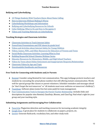#### **Bullying and Cyberbullying**

- <span id="page-12-0"></span>● [10 Things Students Wish Teachers Knew About Name Calling](https://www.adl.org/education/resources/tools-and-strategies/ten-things-students-wish-teachers-knew-about-name-calling)
- [How to Intervene Without Making It Worse](https://www.adl.org/education/resources/tools-and-strategies/classroom-conversations/do-no-harm-how-to-intervene-without-making-it-worse)
- [Cyberbullying Workshops and Information](https://www.adl.org/education/resources/tools-and-strategies/bullying-and-cyberbullying-workshops)
- [Bullying and Cyberbullying Resources for Schools](https://www.adl.org/education/resources/tools-and-strategies/bullying-and-cyberbullying-prevention-strategies)
- [Cyber Bullying: What to Do and How to Recognize It](https://www.consumer.ftc.gov/articles/0028-cyberbullying)
- [Videos and Teaching Materials on Cyberbullying](https://www.missingkids.org/netsmartz/topics/cyberbullying)

#### **Teaching Strategies and Classroom Activities**

- [Classroom Activities to Teach Internet Safety](https://www.missingkids.org/netsmartz/resources#classroomactivities)
- [PowerPoint Presentations and PDF sheets by grade level](https://www.missingkids.org/netsmartz/resources)
- [Videos and Activities about Internet Safety for Young Children](https://www.netsmartzkids.org/)
- [Videos, Games, PDFs, and Other Resources for Educators of Tweens and Teens](https://www.nsteens.org/Educators)
- [Social Media Classroom Activities: Learning What to Post](https://www.adl.org/education/resources/tools-and-strategies/social-media-armor-are-you-really-what-you-post)
- [Building Respectful School Climates Webinar Series](https://www.adl.org/building-respectful-school-climates-adl-webinar-series)
- [Educator Resources for Elementary, Middle, and High School Teachers](https://www.consumer.ftc.gov/features/feature-0003-educators)
- [Videos by Teens about Online Enticement and Inappropriate Requests/Relationships](https://www.missingkids.org/netsmartz/topics/onlineenticement)
- [Classroom Videos by Age and Topic](https://www.webwise.ie/classroom-videos/)
- [Downloadable Handbooks and Resources](https://www.webwise.ie/teachers/resources/)

#### **Free Tools for Connecting with Students and/or Parents**

- [Remind:](https://www.remind.com/) Consider using Remind for text communication. This app/webpage protects teachers and students by concealing the actual phone numbers but still offering instant communication. Works well for special groups like classes or parent volunteers. Schedule reminders and messages ahead (ie "don't forget the test tomorrow" or "all students must wear uniforms on tomorrow's fieldtrip")
- [TeamSnap:](https://www.teamsnap.com/) Software plans (some free but some paid) for team management.
- [Four Communication Tools to Energize the Parent Teacher Relationship](https://www.wgu.edu/heyteach/article/4-communication-tools-energize-parent-teacher-relationship1808.html) :includes links and descriptions for popular sites Remind, ClassDojo, Bloomz, and ClassTag. Find what's right for your group and your teaching style.

#### **Submitting Assignments and Encouraging Peer Collaboration**

- [Turn It In:](https://www.turnitin.com/) Plagiarism detection and teaching resources for increasing academic integrity
- [Google Docs](https://www.google.com/docs/about/): A great place for students to collaborate on papers, projects, etc.
- [Quizlet:](https://quizlet.com/) Generate flashcards, vocabulary lists, and other study tools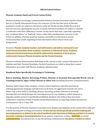#### <span id="page-13-0"></span>**Official School Policies**

#### **Phoenix Academy Email and Parent Contact Policy**

Phoenix Academy encourages communication between Parents/Guardians and the school. Due to (1) Family Educational Privacy Act concerns, (2) the fact that much of Phoenix Academy's emails are subject to disclosure under the North Carolina Public Records Act, and (3) concerns regarding the security of emails, Parents/Guardians are asked to schedule a conference with their children(s)' teacher on any issues that arise, especially regarding any "academic failure" or "bullying" issues, rather than emailing those concerns to the school. In addition, Phoenix Academy teachers and staff are instructed to answer Parent/Guardian emails regarding factual information about school events and Assignments.

However, Phoenix Academy teachers and staff teachers and staff are instructed to not email Parents/Guardians about academic, emotional, or behavioral issues. Academic, emotional and behavioral issues should be addressed by telephone or by in-person conference(s) between Phoenix Academy and the Parent/Guardian.

Phoenix Academy administration shall keep on file, and up to date, contact information for students and their Parents/Guardians. Parents/Guardians are asked to keep their contact information up to date with Phoenix Academy administration.

#### **Handbook Rules Specifically Pertaining to Technology**

#### **Rule 8. Insulting, Abusive, Harassing, Profane, Obscene, or Seriously Disrespectful Words, Acts of Touching Gestures, Signs, Verbal Threats or Other Acts** (including electronic communications)

Students shall respect other students, visitors, school employees and other persons by utilizing appropriate language and behaviors at all times. No aggression towards one self or others. Any action which is insulting, abusive, harassing, profane, obscene or seriously disrespectful and which disrupts the learning process for any student or which demeans or degrades another person is specifically prohibited. Students who believe they have been subjected to violations of Rule 8 should consult Board policies on reporting student harassment. Consequences: Up to 3 days OSS.

It is the priority of Phoenix Academy to provide every student and employee in the school with a safe and orderly learning and working environment. To this end, the school specifically prohibits bullying and harassing behavior as defined in the school handbook under Harassment/Bullying and Rule 8. As used in this policy, bullying or harassing behavior is any pattern of gestures; written, electronic, or verbal communications; any physical act; or any threatening communication that places a student or school